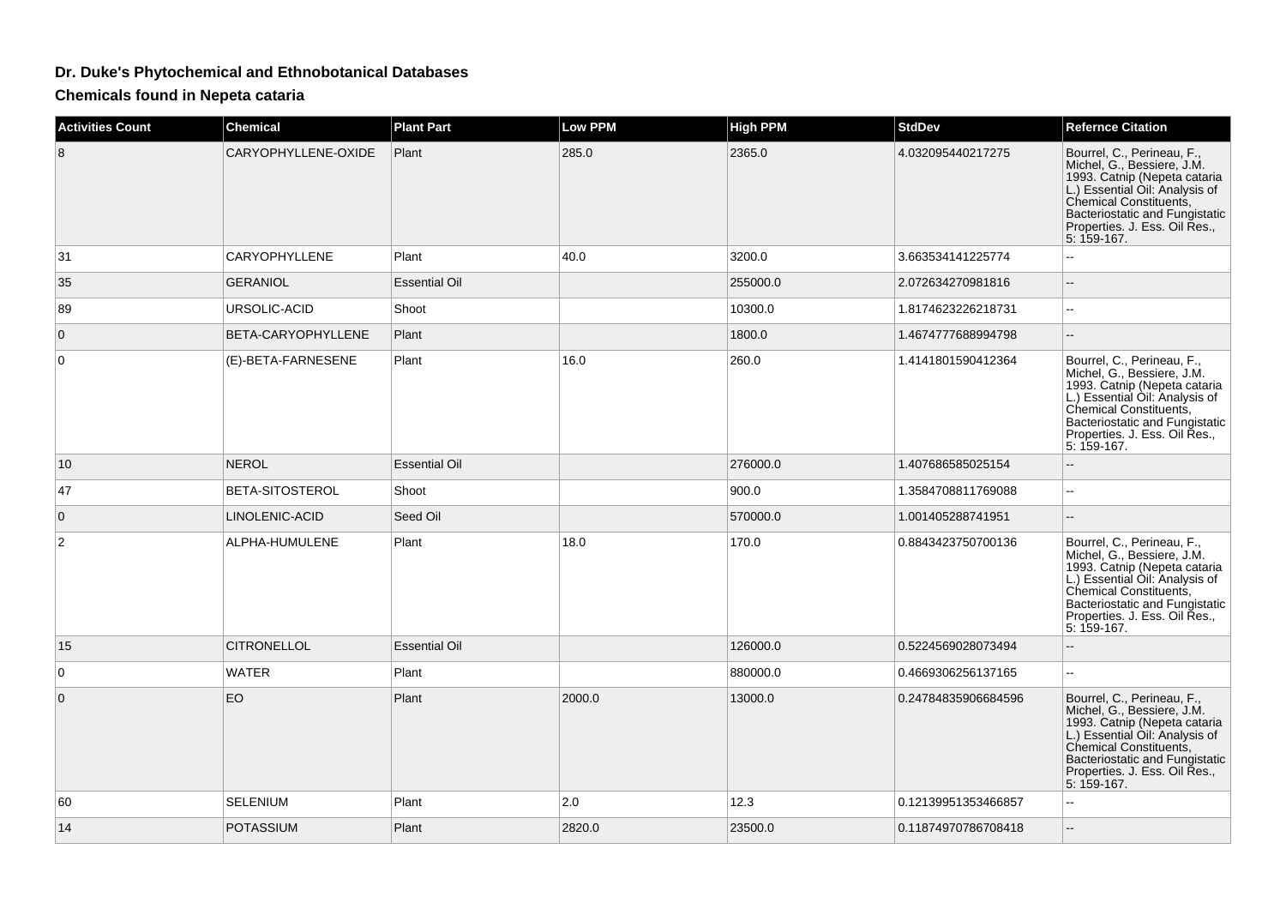## **Dr. Duke's Phytochemical and Ethnobotanical Databases**

**Chemicals found in Nepeta cataria**

| <b>Activities Count</b> | <b>Chemical</b>        | <b>Plant Part</b>    | <b>Low PPM</b> | <b>High PPM</b> | <b>StdDev</b>       | <b>Refernce Citation</b>                                                                                                                                                                                                               |
|-------------------------|------------------------|----------------------|----------------|-----------------|---------------------|----------------------------------------------------------------------------------------------------------------------------------------------------------------------------------------------------------------------------------------|
| 8                       | CARYOPHYLLENE-OXIDE    | Plant                | 285.0          | 2365.0          | 4.032095440217275   | Bourrel, C., Perineau, F.,<br>Michel, G., Bessiere, J.M.<br>1993. Catnip (Nepeta cataria<br>L.) Essential Oil: Analysis of<br>Chemical Constituents,<br>Bacteriostatic and Fungistatic<br>Properties. J. Ess. Oil Res.,<br>5: 159-167. |
| 31                      | CARYOPHYLLENE          | Plant                | 40.0           | 3200.0          | 3.663534141225774   | Ξ.                                                                                                                                                                                                                                     |
| 35                      | <b>GERANIOL</b>        | <b>Essential Oil</b> |                | 255000.0        | 2.072634270981816   | --                                                                                                                                                                                                                                     |
| 89                      | URSOLIC-ACID           | Shoot                |                | 10300.0         | 1.8174623226218731  | ۵.                                                                                                                                                                                                                                     |
| $\mathbf{0}$            | BETA-CARYOPHYLLENE     | Plant                |                | 1800.0          | 1.4674777688994798  | $-$                                                                                                                                                                                                                                    |
| $\Omega$                | (E)-BETA-FARNESENE     | Plant                | 16.0           | 260.0           | 1.4141801590412364  | Bourrel, C., Perineau, F.,<br>Michel, G., Bessiere, J.M.<br>1993. Catnip (Nepeta cataria<br>L.) Essential Oil: Analysis of<br>Chemical Constituents,<br>Bacteriostatic and Fungistatic<br>Properties. J. Ess. Oil Res.,<br>5: 159-167. |
| 10                      | <b>NEROL</b>           | <b>Essential Oil</b> |                | 276000.0        | 1.407686585025154   |                                                                                                                                                                                                                                        |
| 47                      | <b>BETA-SITOSTEROL</b> | Shoot                |                | 900.0           | 1.3584708811769088  | Ξ.                                                                                                                                                                                                                                     |
| $\mathbf 0$             | LINOLENIC-ACID         | Seed Oil             |                | 570000.0        | 1.001405288741951   | $\sim$                                                                                                                                                                                                                                 |
| $\overline{2}$          | ALPHA-HUMULENE         | Plant                | 18.0           | 170.0           | 0.8843423750700136  | Bourrel, C., Perineau, F.,<br>Michel, G., Bessiere, J.M.<br>1993. Cathip (Nepeta cataria<br>L.) Essential Oil: Analysis of<br>Chemical Constituents,<br>Bacteriostatic and Fungistatic<br>Properties. J. Ess. Oil Res.,<br>5: 159-167. |
| 15                      | <b>CITRONELLOL</b>     | <b>Essential Oil</b> |                | 126000.0        | 0.5224569028073494  |                                                                                                                                                                                                                                        |
| 0                       | WATER                  | Plant                |                | 880000.0        | 0.4669306256137165  | $\sim$                                                                                                                                                                                                                                 |
| $\Omega$                | EO                     | Plant                | 2000.0         | 13000.0         | 0.24784835906684596 | Bourrel, C., Perineau, F.,<br>Michel, G., Bessiere, J.M.<br>1993. Catnip (Nepeta cataria<br>L.) Essential Oil: Analysis of<br>Chemical Constituents,<br>Bacteriostatic and Fungistatic<br>Properties. J. Ess. Oil Res.,<br>5: 159-167. |
| 60                      | SELENIUM               | Plant                | 2.0            | 12.3            | 0.12139951353466857 | ۵.                                                                                                                                                                                                                                     |
| 14                      | <b>POTASSIUM</b>       | Plant                | 2820.0         | 23500.0         | 0.11874970786708418 |                                                                                                                                                                                                                                        |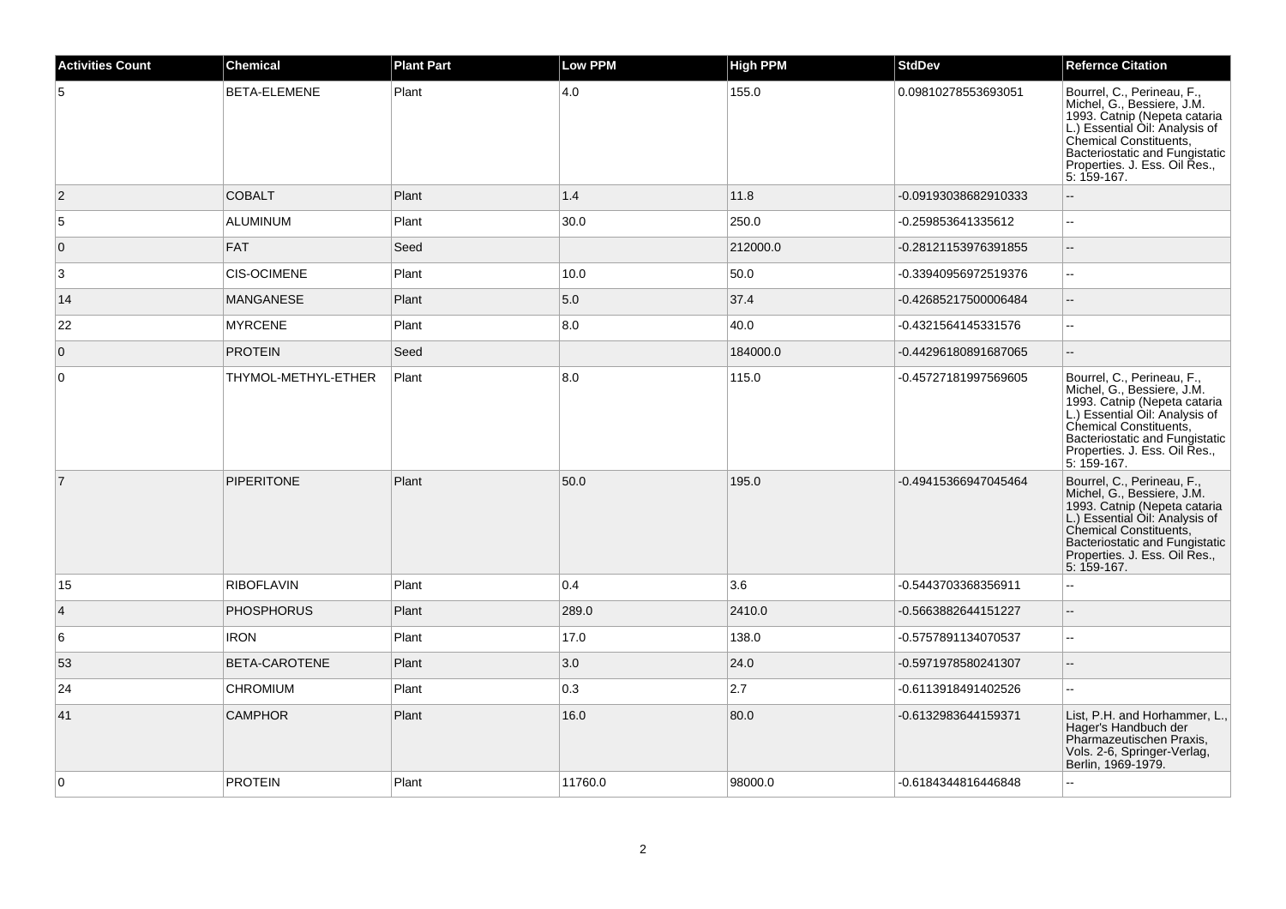| <b>Activities Count</b> | <b>Chemical</b>     | <b>Plant Part</b> | <b>Low PPM</b> | <b>High PPM</b> | <b>StdDev</b>        | <b>Refernce Citation</b>                                                                                                                                                                                                               |
|-------------------------|---------------------|-------------------|----------------|-----------------|----------------------|----------------------------------------------------------------------------------------------------------------------------------------------------------------------------------------------------------------------------------------|
| 5                       | BETA-ELEMENE        | Plant             | 4.0            | 155.0           | 0.09810278553693051  | Bourrel, C., Perineau, F.,<br>Michel, G., Bessiere, J.M.<br>1993. Catnip (Nepeta cataria<br>L.) Essential Oil: Analysis of<br>Chemical Constituents,<br>Bacteriostatic and Fungistatic<br>Properties. J. Ess. Oil Res.,<br>5: 159-167. |
| $\overline{2}$          | <b>COBALT</b>       | Plant             | 1.4            | 11.8            | -0.09193038682910333 | $\mathbb{L}^{\mathbb{L}}$                                                                                                                                                                                                              |
| 5                       | ALUMINUM            | Plant             | 30.0           | 250.0           | -0.259853641335612   |                                                                                                                                                                                                                                        |
| $\overline{0}$          | FAT                 | Seed              |                | 212000.0        | -0.28121153976391855 | $\overline{a}$                                                                                                                                                                                                                         |
| 3                       | <b>CIS-OCIMENE</b>  | Plant             | 10.0           | 50.0            | -0.33940956972519376 | $\mathbf{u}$                                                                                                                                                                                                                           |
| 14                      | MANGANESE           | Plant             | 5.0            | 37.4            | -0.42685217500006484 | $\sim$ $\sim$                                                                                                                                                                                                                          |
| 22                      | <b>MYRCENE</b>      | Plant             | 8.0            | 40.0            | -0.4321564145331576  | --                                                                                                                                                                                                                                     |
| $\overline{0}$          | <b>PROTEIN</b>      | Seed              |                | 184000.0        | -0.44296180891687065 | $\sim$                                                                                                                                                                                                                                 |
| $\mathbf 0$             | THYMOL-METHYL-ETHER | Plant             | 8.0            | 115.0           | -0.45727181997569605 | Bourrel, C., Perineau, F.,<br>Michel, G., Bessiere, J.M.<br>1993. Catnip (Nepeta cataria<br>L.) Essential Oil: Analysis of<br>Chemical Constituents,<br>Bacteriostatic and Fungistatic<br>Properties. J. Ess. Oil Res.,<br>5: 159-167. |
| $\overline{7}$          | <b>PIPERITONE</b>   | Plant             | 50.0           | 195.0           | -0.49415366947045464 | Bourrel, C., Perineau, F.,<br>Michel, G., Bessiere, J.M.<br>1993. Cathip (Nepeta cataria<br>L.) Essential Oil: Analysis of<br>Chemical Constituents,<br>Bacteriostatic and Fungistatic<br>Properties. J. Ess. Oil Res.,<br>5: 159-167. |
| 15                      | <b>RIBOFLAVIN</b>   | Plant             | 0.4            | 3.6             | -0.5443703368356911  | $\sim$                                                                                                                                                                                                                                 |
| $\overline{4}$          | <b>PHOSPHORUS</b>   | Plant             | 289.0          | 2410.0          | -0.5663882644151227  | $\overline{\phantom{a}}$                                                                                                                                                                                                               |
| 6                       | <b>IRON</b>         | Plant             | 17.0           | 138.0           | -0.5757891134070537  | $\overline{\phantom{a}}$                                                                                                                                                                                                               |
| 53                      | BETA-CAROTENE       | Plant             | 3.0            | 24.0            | -0.5971978580241307  | $\overline{\phantom{a}}$                                                                                                                                                                                                               |
| 24                      | <b>CHROMIUM</b>     | Plant             | 0.3            | 2.7             | -0.6113918491402526  |                                                                                                                                                                                                                                        |
| 41                      | <b>CAMPHOR</b>      | Plant             | 16.0           | 80.0            | -0.6132983644159371  | List, P.H. and Horhammer, L.,<br>Hager's Handbuch der<br>Pharmazeutischen Praxis,<br>Vols. 2-6, Springer-Verlag,<br>Berlin, 1969-1979.                                                                                                 |
| $\mathbf 0$             | <b>PROTEIN</b>      | Plant             | 11760.0        | 98000.0         | -0.6184344816446848  |                                                                                                                                                                                                                                        |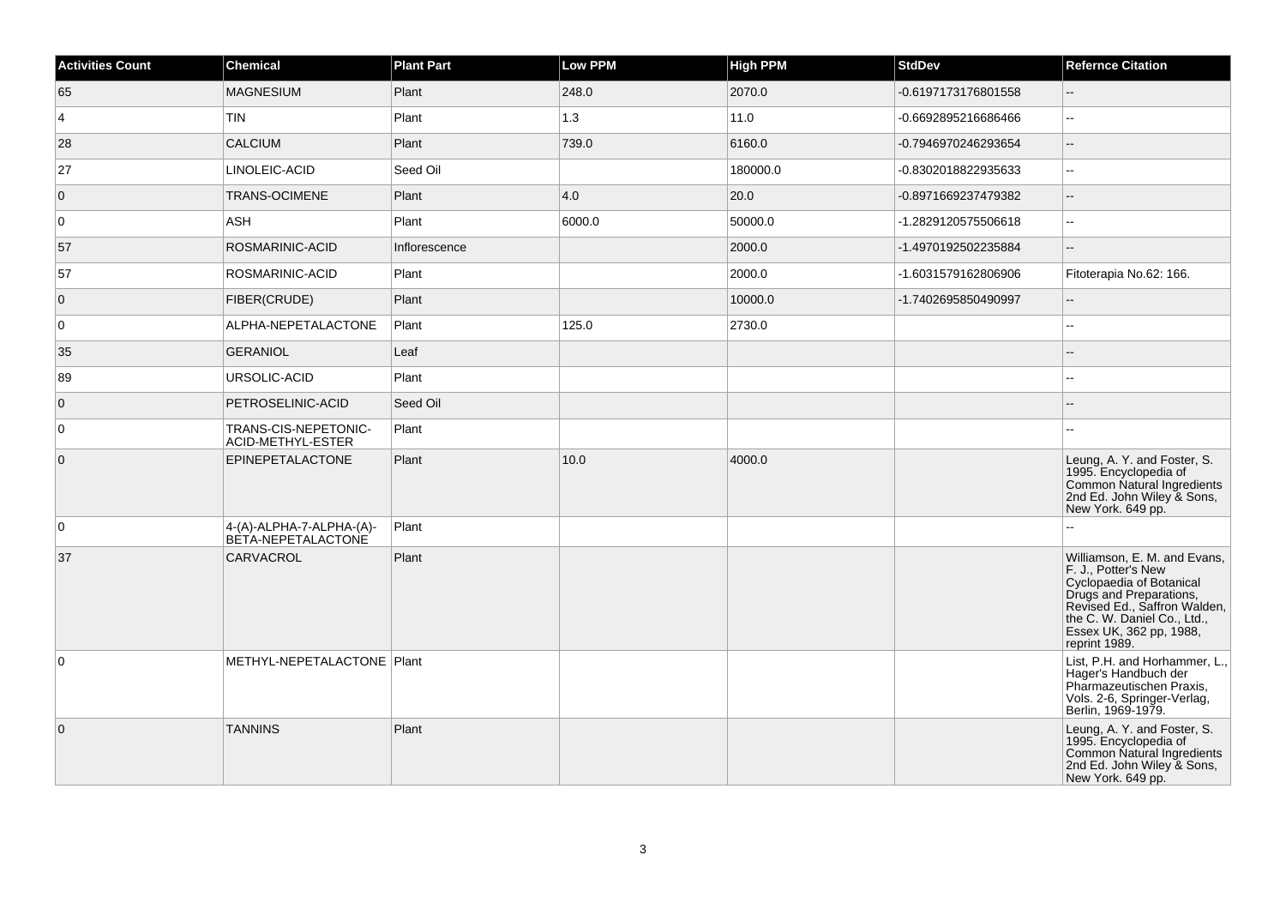| <b>Activities Count</b> | <b>Chemical</b>                                | <b>Plant Part</b> | <b>Low PPM</b> | <b>High PPM</b> | <b>StdDev</b>       | <b>Refernce Citation</b>                                                                                                                                                                                              |
|-------------------------|------------------------------------------------|-------------------|----------------|-----------------|---------------------|-----------------------------------------------------------------------------------------------------------------------------------------------------------------------------------------------------------------------|
| 65                      | <b>MAGNESIUM</b>                               | Plant             | 248.0          | 2070.0          | -0.6197173176801558 | $\overline{a}$                                                                                                                                                                                                        |
| $\vert$ 4               | <b>TIN</b>                                     | Plant             | 1.3            | 11.0            | -0.6692895216686466 | Щ,                                                                                                                                                                                                                    |
| 28                      | <b>CALCIUM</b>                                 | Plant             | 739.0          | 6160.0          | -0.7946970246293654 | ш,                                                                                                                                                                                                                    |
| 27                      | LINOLEIC-ACID                                  | Seed Oil          |                | 180000.0        | -0.8302018822935633 | L.                                                                                                                                                                                                                    |
| $\overline{0}$          | TRANS-OCIMENE                                  | Plant             | 4.0            | 20.0            | -0.8971669237479382 | --                                                                                                                                                                                                                    |
| $\overline{0}$          | <b>ASH</b>                                     | Plant             | 6000.0         | 50000.0         | -1.2829120575506618 | $\overline{\phantom{a}}$                                                                                                                                                                                              |
| 57                      | ROSMARINIC-ACID                                | Inflorescence     |                | 2000.0          | -1.4970192502235884 | $\overline{a}$                                                                                                                                                                                                        |
| 57                      | ROSMARINIC-ACID                                | Plant             |                | 2000.0          | -1.6031579162806906 | Fitoterapia No.62: 166.                                                                                                                                                                                               |
| $\overline{0}$          | <b>FIBER(CRUDE)</b>                            | Plant             |                | 10000.0         | -1.7402695850490997 |                                                                                                                                                                                                                       |
| $\overline{0}$          | ALPHA-NEPETALACTONE                            | Plant             | 125.0          | 2730.0          |                     | ۵.                                                                                                                                                                                                                    |
| 35                      | GERANIOL                                       | Leaf              |                |                 |                     |                                                                                                                                                                                                                       |
| 89                      | URSOLIC-ACID                                   | Plant             |                |                 |                     |                                                                                                                                                                                                                       |
| $\overline{0}$          | PETROSELINIC-ACID                              | Seed Oil          |                |                 |                     |                                                                                                                                                                                                                       |
| $\overline{0}$          | TRANS-CIS-NEPETONIC-<br>ACID-METHYL-ESTER      | Plant             |                |                 |                     |                                                                                                                                                                                                                       |
| $\overline{0}$          | EPINEPETALACTONE                               | Plant             | 10.0           | 4000.0          |                     | Leung, A. Y. and Foster, S.<br>1995. Encyclopedia of<br>Common Natural Ingredients<br>2nd Ed. John Wiley & Sons,<br>New York. 649 pp.                                                                                 |
| $\overline{0}$          | 4-(A)-ALPHA-7-ALPHA-(A)-<br>BÈTA-NEPETALACTONE | Plant             |                |                 |                     |                                                                                                                                                                                                                       |
| 37                      | CARVACROL                                      | Plant             |                |                 |                     | Williamson, E. M. and Evans,<br>F. J., Potter's New<br>Cyclopaedia of Botanical<br>Drugs and Preparations,<br>Revised Ed., Saffron Walden,<br>the C. W. Daniel Co., Ltd.,<br>Essex UK, 362 pp, 1988,<br>reprint 1989. |
| $\overline{0}$          | METHYL-NEPETALACTONE   Plant                   |                   |                |                 |                     | List, P.H. and Horhammer, L.,<br>Hager's Handbuch der<br>Pharmazeutischen Praxis.<br>Vols. 2-6, Springer-Verlag,<br>Berlin, 1969-1979.                                                                                |
| $\overline{0}$          | <b>TANNINS</b>                                 | Plant             |                |                 |                     | Leung, A. Y. and Foster, S.<br>1995. Encyclopedia of<br>Common Natural Ingredients<br>2nd Ed. John Wiley & Sons,<br>New York. 649 pp.                                                                                 |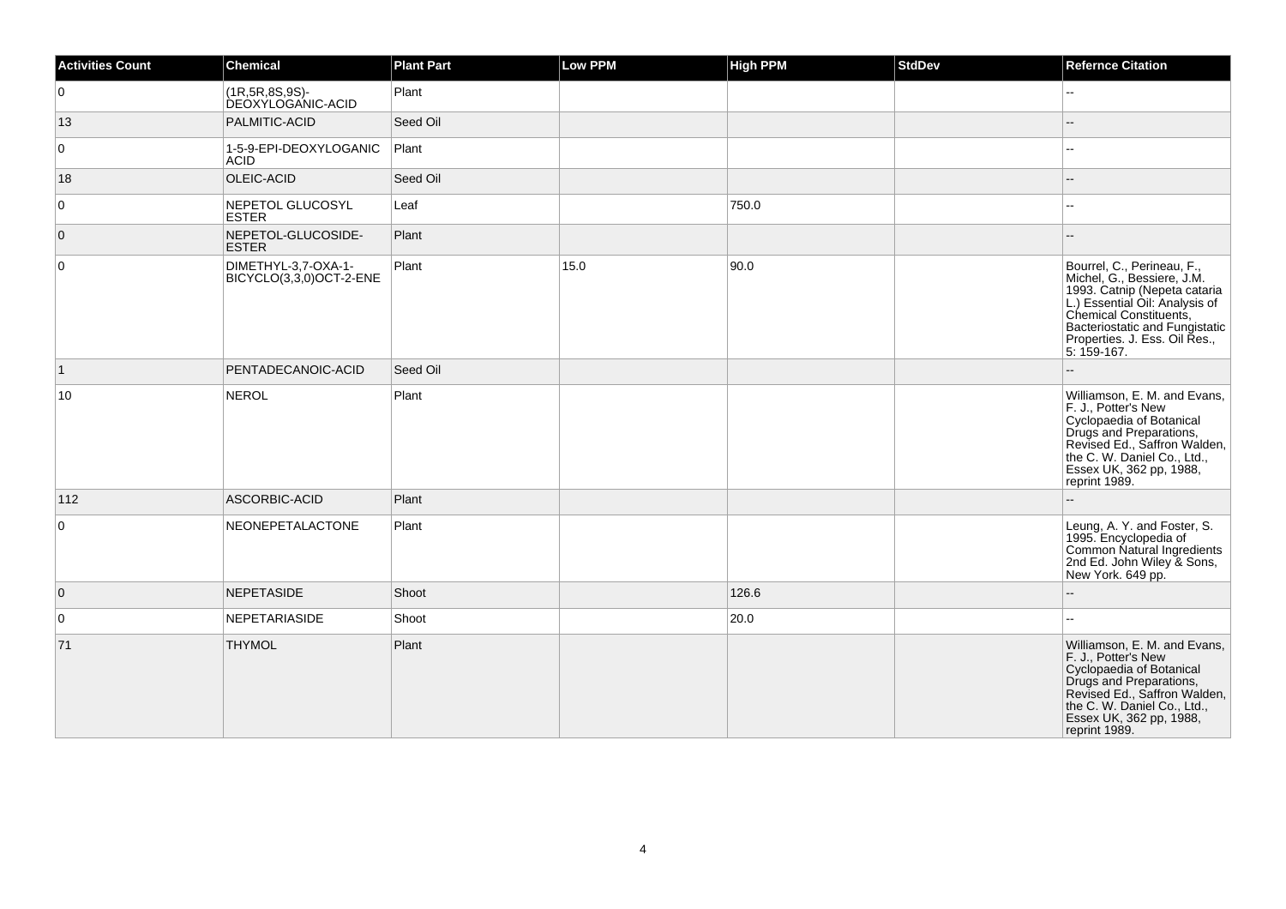| <b>Activities Count</b> | <b>Chemical</b>                                | <b>Plant Part</b> | Low PPM | <b>High PPM</b> | <b>StdDev</b> | <b>Refernce Citation</b>                                                                                                                                                                                                                                               |
|-------------------------|------------------------------------------------|-------------------|---------|-----------------|---------------|------------------------------------------------------------------------------------------------------------------------------------------------------------------------------------------------------------------------------------------------------------------------|
| $\overline{0}$          | (1R, 5R, 8S, 9S)-<br><b>DEOXYLOGANIC-ACID</b>  | Plant             |         |                 |               | Щ,                                                                                                                                                                                                                                                                     |
| 13                      | PALMITIC-ACID                                  | Seed Oil          |         |                 |               |                                                                                                                                                                                                                                                                        |
| $\overline{0}$          | 1-5-9-EPI-DEOXYLOGANIC<br><b>ACID</b>          | Plant             |         |                 |               | $\overline{a}$                                                                                                                                                                                                                                                         |
| 18                      | OLEIC-ACID                                     | Seed Oil          |         |                 |               |                                                                                                                                                                                                                                                                        |
| $\overline{0}$          | NEPETOL GLUCOSYL<br><b>ESTER</b>               | Leaf              |         | 750.0           |               |                                                                                                                                                                                                                                                                        |
| $\overline{0}$          | NEPETOL-GLUCOSIDE-<br><b>ESTER</b>             | Plant             |         |                 |               |                                                                                                                                                                                                                                                                        |
| $\overline{0}$          | DIMETHYL-3,7-OXA-1-<br>BICYCLO(3,3,0)OCT-2-ENE | Plant             | 15.0    | 90.0            |               | Bourrel, C., Perineau, F.,<br>Michel, G., Bessiere, J.M.<br>1993. Catrip (Nepeta cataria<br>1993. Catrip (Nepeta cataria<br>L.) Essential Oil: Analysis of<br>Chemical Constituents,<br>Bacteriostatic and Fungistatic<br>Properties. J. Ess. Oil Res.,<br>5: 159-167. |
| $\vert$ 1               | PENTADECANOIC-ACID                             | Seed Oil          |         |                 |               |                                                                                                                                                                                                                                                                        |
| 10                      | NEROL                                          | Plant             |         |                 |               | Williamson, E. M. and Evans,<br>F. J., Potter's New<br>Cyclopaedia of Botanical<br>Drugs and Preparations,<br>Revised Ed., Saffron Walden,<br>the C. W. Daniel Co., Ltd.,<br>Essex UK, 362 pp, 1988,<br>reprint 1989.                                                  |
| 112                     | ASCORBIC-ACID                                  | Plant             |         |                 |               |                                                                                                                                                                                                                                                                        |
| 0                       | NEONEPETALACTONE                               | Plant             |         |                 |               | Leung, A. Y. and Foster, S.<br>1995. Encyclopedia of<br>Common Natural Ingredients<br>2nd Ed. John Wiley & Sons,<br>New York. 649 pp.                                                                                                                                  |
| $\overline{0}$          | NEPETASIDE                                     | Shoot             |         | 126.6           |               | $-$                                                                                                                                                                                                                                                                    |
| 0                       | NEPETARIASIDE                                  | Shoot             |         | 20.0            |               | Щ,                                                                                                                                                                                                                                                                     |
| 71                      | <b>THYMOL</b>                                  | Plant             |         |                 |               | Williamson, E. M. and Evans,<br>F. J., Potter's New<br>Cyclopaedia of Botanical<br>Drugs and Preparations,<br>Revised Ed., Saffron Walden,<br>the C. W. Daniel Co., Ltd.,<br>Essex UK, 362 pp, 1988,<br>reprint 1989.                                                  |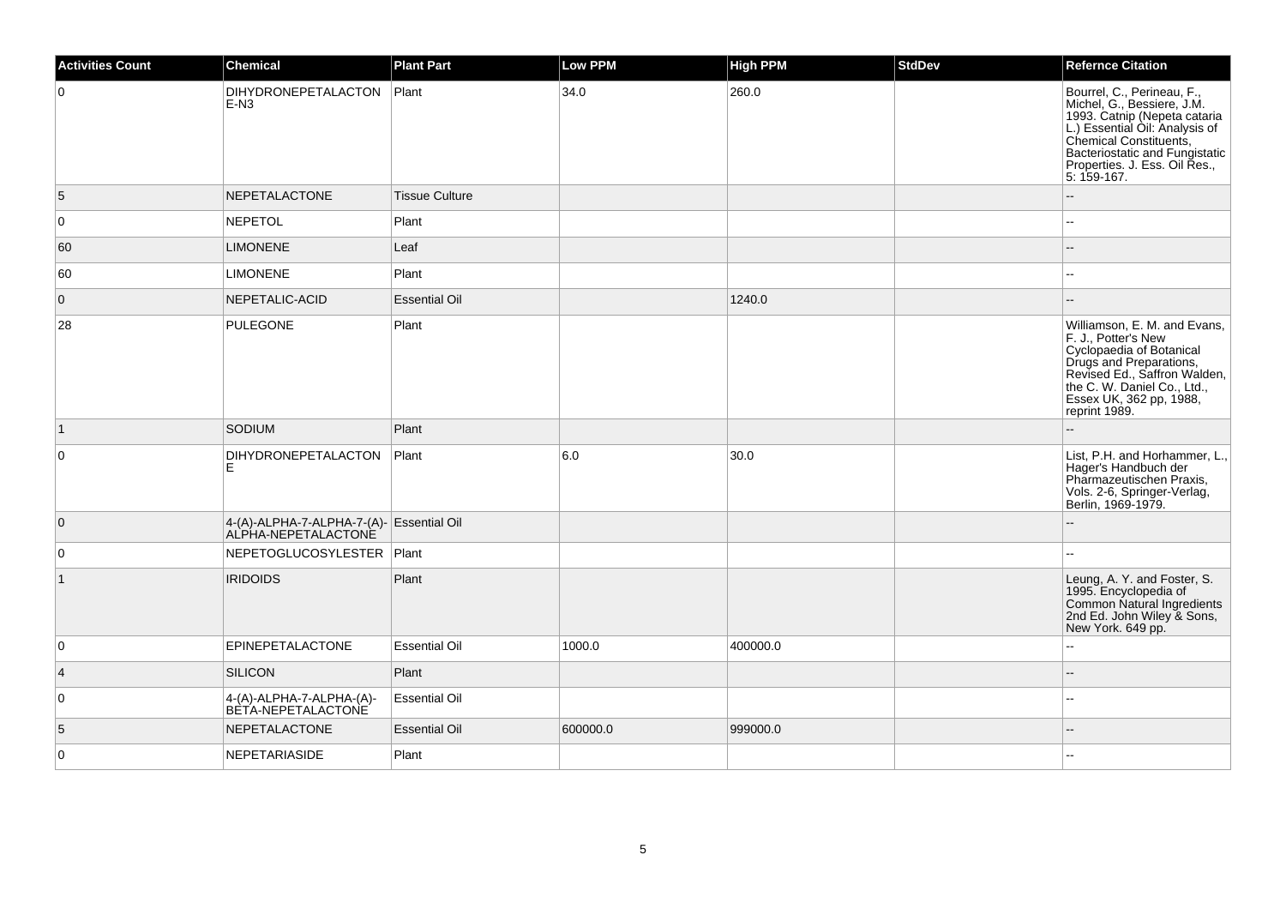| <b>Activities Count</b> | <b>Chemical</b>                                                 | <b>Plant Part</b>     | <b>Low PPM</b> | <b>High PPM</b> | <b>StdDev</b> | <b>Refernce Citation</b>                                                                                                                                                                                                               |
|-------------------------|-----------------------------------------------------------------|-----------------------|----------------|-----------------|---------------|----------------------------------------------------------------------------------------------------------------------------------------------------------------------------------------------------------------------------------------|
| $\mathbf 0$             | <b>DIHYDRONEPETALACTON</b><br>$E-N3$                            | Plant                 | 34.0           | 260.0           |               | Bourrel, C., Perineau, F.,<br>Michel, G., Bessiere, J.M.<br>1993. Cathip (Nepeta cataria<br>L.) Essential Oil: Analysis of<br>Chemical Constituents,<br>Bacteriostatic and Fungistatic<br>Properties. J. Ess. Oil Res.,<br>5: 159-167. |
| 5                       | <b>NEPETALACTONE</b>                                            | <b>Tissue Culture</b> |                |                 |               |                                                                                                                                                                                                                                        |
| $\mathbf 0$             | <b>NEPETOL</b>                                                  | Plant                 |                |                 |               |                                                                                                                                                                                                                                        |
| 60                      | <b>LIMONENE</b>                                                 | Leaf                  |                |                 |               | --                                                                                                                                                                                                                                     |
| 60                      | <b>LIMONENE</b>                                                 | Plant                 |                |                 |               |                                                                                                                                                                                                                                        |
| $\mathbf 0$             | NEPETALIC-ACID                                                  | <b>Essential Oil</b>  |                | 1240.0          |               |                                                                                                                                                                                                                                        |
| 28                      | <b>PULEGONE</b>                                                 | Plant                 |                |                 |               | Williamson, E. M. and Evans,<br>F. J., Potter's New<br>Cyclopaedia of Botanical<br>Drugs and Preparations,<br>Revised Ed., Saffron Walden,<br>the C. W. Daniel Co., Ltd.,<br>Essex UK, 362 pp, 1988,<br>reprint 1989.                  |
| $\vert$ 1               | SODIUM                                                          | Plant                 |                |                 |               |                                                                                                                                                                                                                                        |
| $\mathbf 0$             | <b>DIHYDRONEPETALACTON</b><br>E                                 | Plant                 | 6.0            | 30.0            |               | List, P.H. and Horhammer, L.,<br>Hager's Handbuch der<br>Pharmazeutischen Praxis,<br>Vols. 2-6, Springer-Verlag,<br>Berlin, 1969-1979.                                                                                                 |
| $\overline{0}$          | 4-(A)-ALPHA-7-ALPHA-7-(A)- Essential Oil<br>ALPHA-NEPETALACTONE |                       |                |                 |               |                                                                                                                                                                                                                                        |
| 0                       | NEPETOGLUCOSYLESTER   Plant                                     |                       |                |                 |               | $\sim$                                                                                                                                                                                                                                 |
| $\vert$ 1               | <b>IRIDOIDS</b>                                                 | Plant                 |                |                 |               | Leung, A. Y. and Foster, S.<br>1995. Encyclopedia of<br>Common Natural Ingredients<br>2nd Ed. John Wiley & Sons,<br>New York. 649 pp.                                                                                                  |
| $\mathbf 0$             | EPINEPETALACTONE                                                | <b>Essential Oil</b>  | 1000.0         | 400000.0        |               | $\overline{a}$                                                                                                                                                                                                                         |
| $\overline{4}$          | <b>SILICON</b>                                                  | Plant                 |                |                 |               |                                                                                                                                                                                                                                        |
| 0                       | 4-(A)-ALPHA-7-ALPHA-(A)-<br>BETA-NEPETALACTONE                  | <b>Essential Oil</b>  |                |                 |               |                                                                                                                                                                                                                                        |
| 5                       | NEPETALACTONE                                                   | <b>Essential Oil</b>  | 600000.0       | 999000.0        |               | $\sim$                                                                                                                                                                                                                                 |
| $\mathbf 0$             | <b>NEPETARIASIDE</b>                                            | Plant                 |                |                 |               |                                                                                                                                                                                                                                        |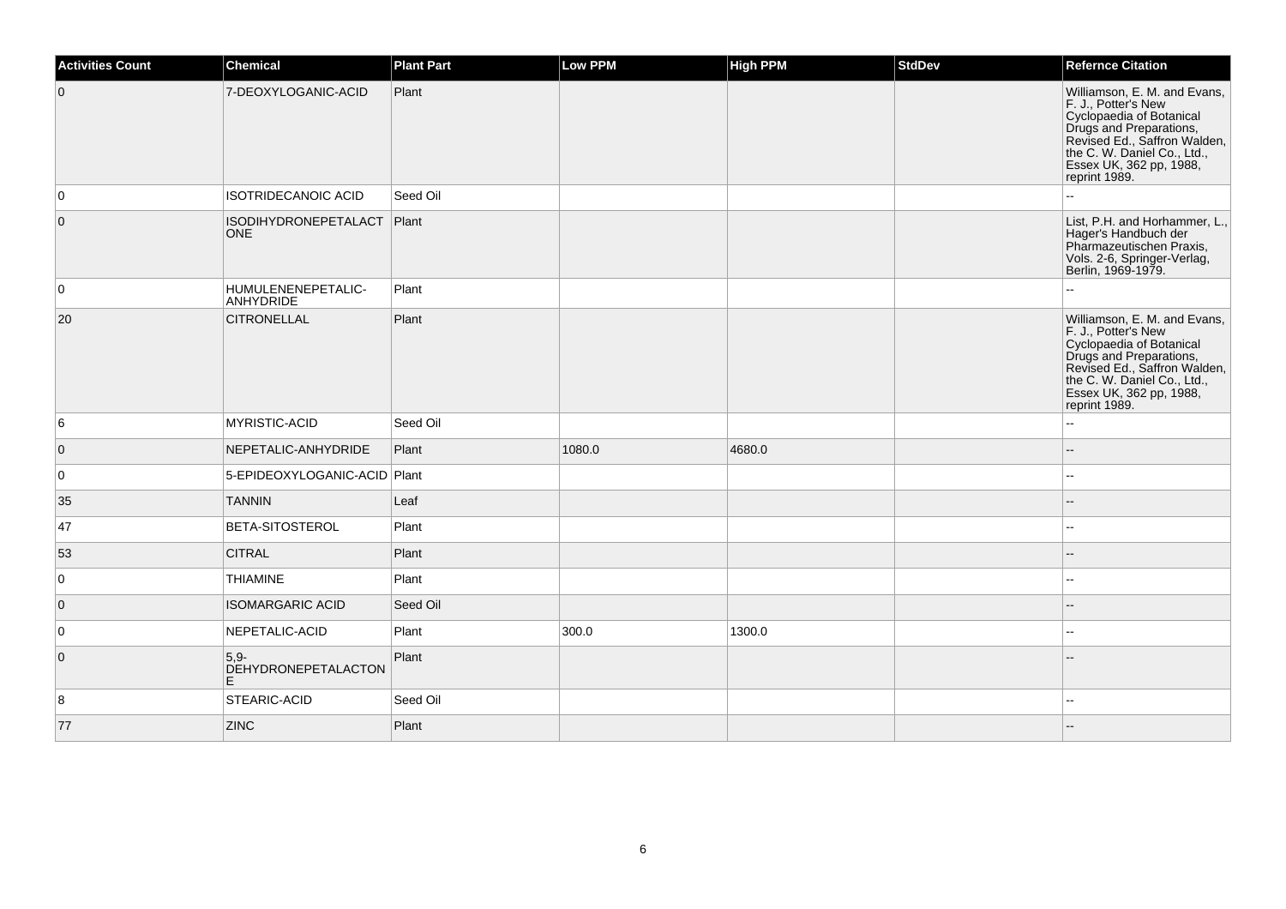| <b>Activities Count</b> | <b>Chemical</b>                           | <b>Plant Part</b> | <b>Low PPM</b> | <b>High PPM</b> | <b>StdDev</b> | <b>Refernce Citation</b>                                                                                                                                                                                              |
|-------------------------|-------------------------------------------|-------------------|----------------|-----------------|---------------|-----------------------------------------------------------------------------------------------------------------------------------------------------------------------------------------------------------------------|
| $\overline{0}$          | 7-DEOXYLOGANIC-ACID                       | Plant             |                |                 |               | Williamson, E. M. and Evans,<br>F. J., Potter's New<br>Cyclopaedia of Botanical<br>Drugs and Preparations,<br>Revised Ed., Saffron Walden,<br>the C. W. Daniel Co., Ltd.,<br>Essex UK, 362 pp, 1988,<br>reprint 1989. |
| 0                       | ISOTRIDECANOIC ACID                       | Seed Oil          |                |                 |               |                                                                                                                                                                                                                       |
| $\overline{0}$          | <b>ISODIHYDRONEPETALACT</b><br><b>ONE</b> | Plant             |                |                 |               | List, P.H. and Horhammer, L.,<br>Hager's Handbuch der<br>Pharmazeutischen Praxis,<br>Vols. 2-6, Springer-Verlag,<br>Berlin, 1969-1979.                                                                                |
| 0                       | HUMULENENEPETALIC-<br>ANHYDRIDE           | Plant             |                |                 |               |                                                                                                                                                                                                                       |
| 20                      | <b>CITRONELLAL</b>                        | Plant             |                |                 |               | Williamson, E. M. and Evans,<br>F. J., Potter's New<br>Cyclopaedia of Botanical<br>Drugs and Preparations,<br>Revised Ed., Saffron Walden,<br>the C. W. Daniel Co., Ltd.,<br>Essex UK, 362 pp, 1988,<br>reprint 1989. |
| 6                       | <b>MYRISTIC-ACID</b>                      | Seed Oil          |                |                 |               | Щ,                                                                                                                                                                                                                    |
| $\overline{0}$          | NEPETALIC-ANHYDRIDE                       | Plant             | 1080.0         | 4680.0          |               | --                                                                                                                                                                                                                    |
| 0                       | 5-EPIDEOXYLOGANIC-ACID Plant              |                   |                |                 |               | шш.                                                                                                                                                                                                                   |
| 35                      | <b>TANNIN</b>                             | Leaf              |                |                 |               | $\overline{a}$                                                                                                                                                                                                        |
| 47                      | <b>BETA-SITOSTEROL</b>                    | Plant             |                |                 |               | --                                                                                                                                                                                                                    |
| 53                      | <b>CITRAL</b>                             | Plant             |                |                 |               | $- -$                                                                                                                                                                                                                 |
| $\overline{0}$          | <b>THIAMINE</b>                           | Plant             |                |                 |               | $\overline{\phantom{a}}$                                                                                                                                                                                              |
| $\overline{0}$          | <b>ISOMARGARIC ACID</b>                   | Seed Oil          |                |                 |               |                                                                                                                                                                                                                       |
| 0                       | NEPETALIC-ACID                            | Plant             | 300.0          | 1300.0          |               |                                                                                                                                                                                                                       |
| $\overline{0}$          | $5,9-$<br>DEHYDRONEPETALACTON<br>E        | Plant             |                |                 |               |                                                                                                                                                                                                                       |
| 8                       | <b>STEARIC-ACID</b>                       | Seed Oil          |                |                 |               | шш.                                                                                                                                                                                                                   |
| 77                      | <b>ZINC</b>                               | Plant             |                |                 |               |                                                                                                                                                                                                                       |